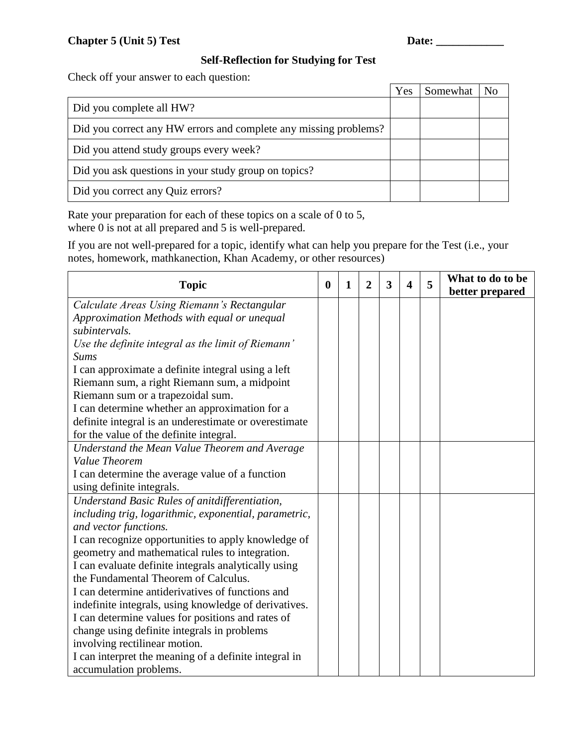## **Self-Reflection for Studying for Test**

Check off your answer to each question:

|                                                                  | Yes | Somewhat | No |
|------------------------------------------------------------------|-----|----------|----|
| Did you complete all HW?                                         |     |          |    |
| Did you correct any HW errors and complete any missing problems? |     |          |    |
| Did you attend study groups every week?                          |     |          |    |
| Did you ask questions in your study group on topics?             |     |          |    |
| Did you correct any Quiz errors?                                 |     |          |    |

Rate your preparation for each of these topics on a scale of 0 to 5, where 0 is not at all prepared and 5 is well-prepared.

If you are not well-prepared for a topic, identify what can help you prepare for the Test (i.e., your notes, homework, mathkanection, Khan Academy, or other resources)

| <b>Topic</b>                                          | $\bf{0}$ | 1 | $\overline{2}$ | 3 | $\boldsymbol{\Delta}$ | 5 | What to do to be<br>better prepared |
|-------------------------------------------------------|----------|---|----------------|---|-----------------------|---|-------------------------------------|
| Calculate Areas Using Riemann's Rectangular           |          |   |                |   |                       |   |                                     |
| Approximation Methods with equal or unequal           |          |   |                |   |                       |   |                                     |
| subintervals.                                         |          |   |                |   |                       |   |                                     |
| Use the definite integral as the limit of Riemann'    |          |   |                |   |                       |   |                                     |
| <b>Sums</b>                                           |          |   |                |   |                       |   |                                     |
| I can approximate a definite integral using a left    |          |   |                |   |                       |   |                                     |
| Riemann sum, a right Riemann sum, a midpoint          |          |   |                |   |                       |   |                                     |
| Riemann sum or a trapezoidal sum.                     |          |   |                |   |                       |   |                                     |
| I can determine whether an approximation for a        |          |   |                |   |                       |   |                                     |
| definite integral is an underestimate or overestimate |          |   |                |   |                       |   |                                     |
| for the value of the definite integral.               |          |   |                |   |                       |   |                                     |
| Understand the Mean Value Theorem and Average         |          |   |                |   |                       |   |                                     |
| Value Theorem                                         |          |   |                |   |                       |   |                                     |
| I can determine the average value of a function       |          |   |                |   |                       |   |                                     |
| using definite integrals.                             |          |   |                |   |                       |   |                                     |
| Understand Basic Rules of anitdifferentiation,        |          |   |                |   |                       |   |                                     |
| including trig, logarithmic, exponential, parametric, |          |   |                |   |                       |   |                                     |
| and vector functions.                                 |          |   |                |   |                       |   |                                     |
| I can recognize opportunities to apply knowledge of   |          |   |                |   |                       |   |                                     |
| geometry and mathematical rules to integration.       |          |   |                |   |                       |   |                                     |
| I can evaluate definite integrals analytically using  |          |   |                |   |                       |   |                                     |
| the Fundamental Theorem of Calculus.                  |          |   |                |   |                       |   |                                     |
| I can determine antiderivatives of functions and      |          |   |                |   |                       |   |                                     |
| indefinite integrals, using knowledge of derivatives. |          |   |                |   |                       |   |                                     |
| I can determine values for positions and rates of     |          |   |                |   |                       |   |                                     |
| change using definite integrals in problems           |          |   |                |   |                       |   |                                     |
| involving rectilinear motion.                         |          |   |                |   |                       |   |                                     |
| I can interpret the meaning of a definite integral in |          |   |                |   |                       |   |                                     |
| accumulation problems.                                |          |   |                |   |                       |   |                                     |